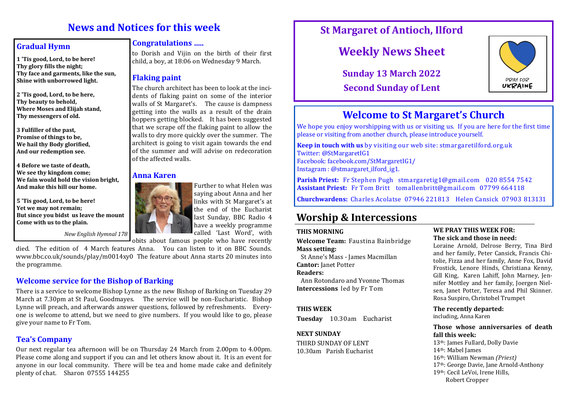# **News and Notices for this week**

### **Gradual Hymn**

**1 'Tis good, Lord, to be here! Thy glory fills the night; Thy face and garments, like the sun, Shine with unborrowed light.**

**2 'Tis good, Lord, to be here, Thy beauty to behold, Where Moses and Elijah stand, Thy messengers of old.**

**3 Fulfiller of the past, Promise of things to be, We hail thy Body glorified, And our redemption see.**

**4 Before we taste of death, We see thy kingdom come; We fain would hold the vision bright, And make this hill our home.**

**5 'Tis good, Lord, to be here! Yet we may not remain; But since you bidst us leave the mount Come with us to the plain.**

*New English Hymnal 178*

died. The edition of 4 March features Anna. You can listen to it on BBC Sounds. www.bbc.co.uk/sounds/play/m0014xy0 The feature about Anna starts 20 minutes into the programme.

# **Welcome service for the Bishop of Barking**

There is a service to welcome Bishop Lynne as the new Bishop of Barking on Tuesday 29 March at 7.30pm at St Paul, Goodmayes. The service will be non-Eucharistic. Bishop Lynne will preach, and afterwards answer questions, followed by refreshments. Everyone is welcome to attend, but we need to give numbers. If you would like to go, please give your name to Fr Tom.

# **Tea's Company**

Our next regular tea afternoon will be on Thursday 24 March from 2.00pm to 4.00pm. Please come along and support if you can and let others know about it. It is an event for anyone in our local community. There will be tea and home made cake and definitely plenty of chat. Sharon 07555 144255

## **Congratulations …..**

to Dorish and Vijin on the birth of their first child, a boy, at 18:06 on Wednesday 9 March.

# **Flaking paint**

The church architect has been to look at the incidents of flaking paint on some of the interior walls of St Margaret's. The cause is dampness getting into the walls as a result of the drain hoppers getting blocked. It has been suggested that we scrape off the flaking paint to allow the walls to dry more quickly over the summer. The architect is going to visit again towards the end of the summer and will advise on redecoration of the affected walls.

### **Anna Karen**



Further to what Helen was saying about Anna and her links with St Margaret's at the end of the Eucharist last Sunday, BBC Radio 4 have a weekly programme called 'Last Word', with



# **Weekly News Sheet**

**Sunday 13 March 2022 Second Sunday of Lent**



# **Welcome to St Margaret's Church**

We hope you enjoy worshipping with us or visiting us. If you are here for the first time please or visiting from another church, please introduce yourself.

**Keep in touch with us** by visiting our web site: stmargaretilford.org.uk Twitter: @StMargaretIG1 Facebook: facebook.com/StMargaretIG1/ Instagram : @stmargaret\_ilford\_ig1.

**Parish Priest:** Fr Stephen Pugh stmargaretig1@gmail.com 020 8554 7542 **Assistant Priest:** Fr Tom Britt tomallenbritt@gmail.com 07799 664118

**Churchwardens:** Charles Acolatse 07946 221813 Helen Cansick 07903 813131

# **Worship & Intercessions**

#### **THIS MORNING**

**Welcome Team:** Faustina Bainbridge **Mass setting:** 

 St Anne's Mass - James Macmillan **Cantor:** Janet Potter

#### **Readers:**

 Ann Rotondaro and Yvonne Thomas **Intercessions** led by Fr Tom

#### **THIS WEEK**

**Tuesday** 10.30am Eucharist

#### **NEXT SUNDAY**

THIRD SUNDAY OF LENT 10.30am Parish Eucharist

#### **WE PRAY THIS WEEK FOR: The sick and those in need:**

Loraine Arnold, Delrose Berry, Tina Bird and her family, Peter Cansick, Francis Chitolie, Fizza and her family, Anne Fox, David Frostick, Lenore Hinds, Christiana Kenny, Gill King, Karen Lahiff, John Marney, Jennifer Mottley and her family, Joergen Nielsen, Janet Potter, Teresa and Phil Skinner. Rosa Suspiro, Christobel Trumpet

**The recently departed:**  including, Anna Karen

**Those whose anniversaries of death fall this week:**

th: James Fullard, Dolly Davie th: Mabel James th: William Newman *(Priest)* th: George Davie, Jane Arnold-Anthony th: Cecil LeVoi, Irene Hills, Robert Cropper